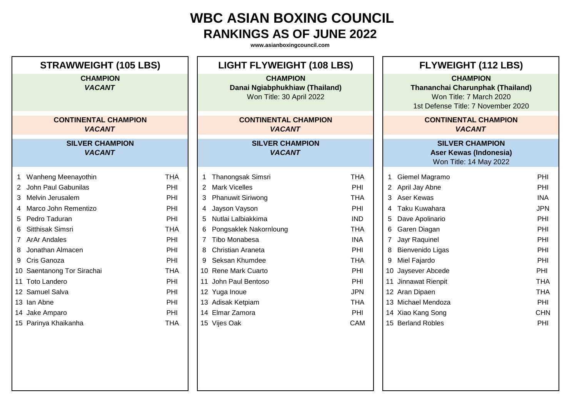| <b>STRAWWEIGHT (105 LBS)</b>                 |            | <b>LIGHT FLYWEIGHT (108 LBS)</b>                                              |            | <b>FLYWEIGHT (112 LBS)</b>                                                                                                  |            |  |
|----------------------------------------------|------------|-------------------------------------------------------------------------------|------------|-----------------------------------------------------------------------------------------------------------------------------|------------|--|
| <b>CHAMPION</b><br><b>VACANT</b>             |            | <b>CHAMPION</b><br>Danai Ngiabphukhiaw (Thailand)<br>Won Title: 30 April 2022 |            | <b>CHAMPION</b><br><b>Thananchai Charunphak (Thailand)</b><br>Won Title: 7 March 2020<br>1st Defense Title: 7 November 2020 |            |  |
| <b>CONTINENTAL CHAMPION</b><br><b>VACANT</b> |            | <b>CONTINENTAL CHAMPION</b><br><b>VACANT</b>                                  |            | <b>CONTINENTAL CHAMPION</b><br><b>VACANT</b>                                                                                |            |  |
| <b>SILVER CHAMPION</b><br><b>VACANT</b>      |            | <b>SILVER CHAMPION</b><br><b>VACANT</b>                                       |            | <b>SILVER CHAMPION</b><br><b>Aser Kewas (Indonesia)</b><br>Won Title: 14 May 2022                                           |            |  |
| Wanheng Meenayothin<br>1                     | <b>THA</b> | Thanongsak Simsri<br>1                                                        | <b>THA</b> | Giemel Magramo                                                                                                              | PHI        |  |
| 2 John Paul Gabunilas                        | PHI        | 2 Mark Vicelles                                                               | PHI        | 2 April Jay Abne                                                                                                            | PHI        |  |
| 3 Melvin Jerusalem                           | PHI        | <b>Phanuwit Siriwong</b><br>3                                                 | <b>THA</b> | 3<br><b>Aser Kewas</b>                                                                                                      | <b>INA</b> |  |
| Marco John Rementizo<br>4                    | PHI        | Jayson Vayson<br>4                                                            | PHI        | Taku Kuwahara<br>4                                                                                                          | <b>JPN</b> |  |
| 5 Pedro Taduran                              | PHI        | Nutlai Lalbiakkima<br>5                                                       | <b>IND</b> | 5<br>Dave Apolinario                                                                                                        | PHI        |  |
| Sitthisak Simsri<br>6                        | <b>THA</b> | Pongsaklek Nakornloung<br>6                                                   | <b>THA</b> | 6<br>Garen Diagan                                                                                                           | PHI        |  |
| <b>ArAr Andales</b>                          | PHI        | Tibo Monabesa<br>$\overline{7}$                                               | <b>INA</b> | Jayr Raquinel                                                                                                               | PHI        |  |
| Jonathan Almacen<br>8                        | PHI        | <b>Christian Araneta</b><br>8                                                 | PHI        | 8<br>Bienvenido Ligas                                                                                                       | PHI        |  |
| 9 Cris Ganoza                                | PHI        | Seksan Khumdee<br>9                                                           | <b>THA</b> | 9<br>Miel Fajardo                                                                                                           | PHI        |  |
| 10 Saentanong Tor Sirachai                   | <b>THA</b> | 10 Rene Mark Cuarto                                                           | PHI        | 10 Jaysever Abcede                                                                                                          | PHI        |  |
| 11 Toto Landero                              | PHI        | 11 John Paul Bentoso                                                          | PHI        | 11 Jinnawat Rienpit                                                                                                         | <b>THA</b> |  |
| 12 Samuel Salva                              | PHI        | 12 Yuga Inoue                                                                 | <b>JPN</b> | 12 Aran Dipaen                                                                                                              | <b>THA</b> |  |
| 13 Ian Abne                                  | PHI        | 13 Adisak Ketpiam                                                             | <b>THA</b> | 13 Michael Mendoza                                                                                                          | PHI        |  |
| 14 Jake Amparo                               | PHI        | 14 Elmar Zamora                                                               | PHI        | 14 Xiao Kang Song                                                                                                           | <b>CHN</b> |  |
| 15 Parinya Khaikanha                         | <b>THA</b> | 15 Vijes Oak                                                                  | CAM        | 15 Berland Robles                                                                                                           | PHI        |  |
|                                              |            |                                                                               |            |                                                                                                                             |            |  |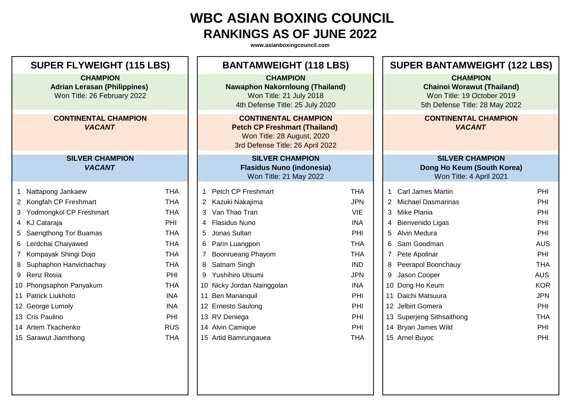| <b>SUPER FLYWEIGHT (115 LBS)</b>                                                      |                           |            | <b>BANTAMWEIGHT (118 LBS)</b>                                                                                                         |                                                                                                                         |            | <b>SUPER BANTAMWEIGHT (122 LBS)</b>          |                                                                                                                      |            |  |
|---------------------------------------------------------------------------------------|---------------------------|------------|---------------------------------------------------------------------------------------------------------------------------------------|-------------------------------------------------------------------------------------------------------------------------|------------|----------------------------------------------|----------------------------------------------------------------------------------------------------------------------|------------|--|
| <b>CHAMPION</b><br><b>Adrian Lerasan (Philippines)</b><br>Won Title: 26 February 2022 |                           |            |                                                                                                                                       | <b>CHAMPION</b><br><b>Nawaphon Nakornloung (Thailand)</b><br>Won Title: 21 July 2018<br>4th Defense Title: 25 July 2020 |            |                                              | <b>CHAMPION</b><br><b>Chainoi Worawut (Thailand)</b><br>Won Title: 19 October 2019<br>5th Defense Title: 28 May 2022 |            |  |
| <b>CONTINENTAL CHAMPION</b><br><b>VACANT</b>                                          |                           |            | <b>CONTINENTAL CHAMPION</b><br><b>Petch CP Freshmart (Thailand)</b><br>Won Title: 28 August, 2020<br>3rd Defense Title: 26 April 2022 |                                                                                                                         |            | <b>CONTINENTAL CHAMPION</b><br><b>VACANT</b> |                                                                                                                      |            |  |
| <b>SILVER CHAMPION</b><br><b>VACANT</b>                                               |                           |            |                                                                                                                                       | <b>SILVER CHAMPION</b><br><b>Flasidus Nuno (indonesia)</b><br>Won Title: 21 May 2022                                    |            |                                              | <b>SILVER CHAMPION</b><br>Dong Ho Keum (South Korea)<br>Won Title: 4 April 2021                                      |            |  |
| 1                                                                                     | Nattapong Jankaew         | <b>THA</b> | 1                                                                                                                                     | <b>Petch CP Freshmart</b>                                                                                               | <b>THA</b> | $\mathbf 1$                                  | <b>Carl James Martin</b>                                                                                             | PHI        |  |
|                                                                                       | 2 Kongfah CP Freshmart    | <b>THA</b> |                                                                                                                                       | 2 Kazuki Nakajima                                                                                                       | <b>JPN</b> |                                              | 2 Michael Dasmarinas                                                                                                 | PHI        |  |
|                                                                                       | 3 Yodmongkol CP Freshmart | <b>THA</b> | 3                                                                                                                                     | Van Thao Tran                                                                                                           | <b>VIE</b> |                                              | 3 Mike Plania                                                                                                        | PHI        |  |
|                                                                                       | 4 KJ Cataraja             | PHI        |                                                                                                                                       | 4 Flasidus Nuno                                                                                                         | <b>INA</b> |                                              | 4 Bienvenido Ligas                                                                                                   | PHI        |  |
|                                                                                       | Saengthong Tor Buamas     | <b>THA</b> | 5                                                                                                                                     | Jonas Sultan                                                                                                            | PHI        | 5                                            | <b>Alvin Medura</b>                                                                                                  | PHI        |  |
|                                                                                       | 6 Lerdchai Chaiyawed      | <b>THA</b> | 6                                                                                                                                     | Parin Luangpon                                                                                                          | <b>THA</b> | 6                                            | Sam Goodman                                                                                                          | <b>AUS</b> |  |
|                                                                                       | 7 Kompayak Shingi Dojo    | <b>THA</b> | $\overline{7}$                                                                                                                        | Boonrueang Phayom                                                                                                       | <b>THA</b> |                                              | 7 Pete Apolinar                                                                                                      | PHI        |  |
| 8                                                                                     | Suphaphon Hanvichachay    | <b>THA</b> | 8                                                                                                                                     | Satnam Singh                                                                                                            | <b>IND</b> | 8                                            | Peerapol Boonchauy                                                                                                   | <b>THA</b> |  |
|                                                                                       | 9 Renz Rosia              | PHI        | 9                                                                                                                                     | Yushihiro Utsumi                                                                                                        | <b>JPN</b> | 9                                            | Jason Cooper                                                                                                         | <b>AUS</b> |  |
|                                                                                       | 10 Phongsaphon Panyakum   | <b>THA</b> |                                                                                                                                       | 10 Nicky Jordan Nainggolan                                                                                              | <b>INA</b> |                                              | 10 Dong Ho Keum                                                                                                      | <b>KOR</b> |  |
|                                                                                       | 11 Patrick Liukhoto       | <b>INA</b> |                                                                                                                                       | 11 Ben Mananquil                                                                                                        | PHI        |                                              | 11 Daichi Matsuura                                                                                                   | <b>JPN</b> |  |
|                                                                                       | 12 George Lumoly          | <b>INA</b> |                                                                                                                                       | 12 Ernesto Saulong                                                                                                      | PHI        |                                              | 12 Jelbirt Gomera                                                                                                    | PHI        |  |
|                                                                                       | 13 Cris Paulino           | PHI        |                                                                                                                                       | 13 RV Deniega                                                                                                           | PHI        |                                              | 13 Superjeng Sithsaithong                                                                                            | <b>THA</b> |  |
|                                                                                       | 14 Artem Tkachenko        | <b>RUS</b> |                                                                                                                                       | 14 Alvin Camique                                                                                                        | PHI        |                                              | 14 Bryan James Wild                                                                                                  | PHI        |  |
|                                                                                       | 15 Sarawut Jiamthong      | <b>THA</b> |                                                                                                                                       | 15 Artid Bamrungauea                                                                                                    | <b>THA</b> |                                              | 15 Arnel Buyoc                                                                                                       | PHI        |  |
|                                                                                       |                           |            |                                                                                                                                       |                                                                                                                         |            |                                              |                                                                                                                      |            |  |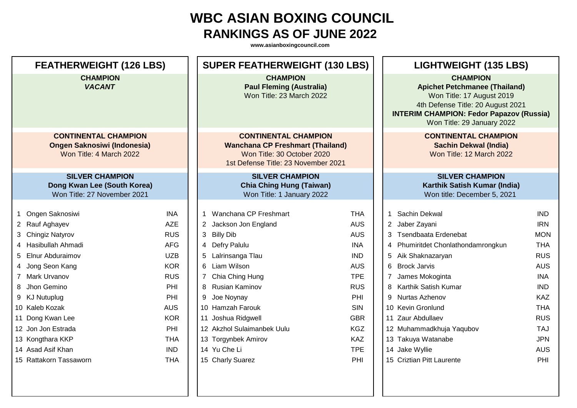| <b>FEATHERWEIGHT (126 LBS)</b>                                                               |            | <b>SUPER FEATHERWEIGHT (130 LBS)</b>                                                                                                        |            | <b>LIGHTWEIGHT (135 LBS)</b>                                                                                                                                                                               |            |  |
|----------------------------------------------------------------------------------------------|------------|---------------------------------------------------------------------------------------------------------------------------------------------|------------|------------------------------------------------------------------------------------------------------------------------------------------------------------------------------------------------------------|------------|--|
| <b>CHAMPION</b><br><b>VACANT</b>                                                             |            | <b>CHAMPION</b><br><b>Paul Fleming (Australia)</b><br>Won Title: 23 March 2022                                                              |            | <b>CHAMPION</b><br><b>Apichet Petchmanee (Thailand)</b><br>Won Title: 17 August 2019<br>4th Defense Title: 20 August 2021<br><b>INTERIM CHAMPION: Fedor Papazov (Russia)</b><br>Won Title: 29 January 2022 |            |  |
| <b>CONTINENTAL CHAMPION</b><br><b>Ongen Saknosiwi (Indonesia)</b><br>Won Title: 4 March 2022 |            | <b>CONTINENTAL CHAMPION</b><br><b>Wanchana CP Freshmart (Thailand)</b><br>Won Title: 30 October 2020<br>1st Defense Title: 23 November 2021 |            | <b>CONTINENTAL CHAMPION</b><br><b>Sachin Dekwal (India)</b><br>Won Title: 12 March 2022                                                                                                                    |            |  |
| <b>SILVER CHAMPION</b><br>Dong Kwan Lee (South Korea)<br>Won Title: 27 November 2021         |            | <b>SILVER CHAMPION</b><br><b>Chia Ching Hung (Taiwan)</b><br>Won Title: 1 January 2022                                                      |            | <b>SILVER CHAMPION</b><br>Karthik Satish Kumar (India)<br>Won title: December 5, 2021                                                                                                                      |            |  |
| Ongen Saknosiwi                                                                              | <b>INA</b> | Wanchana CP Freshmart<br>-1                                                                                                                 | <b>THA</b> | <b>Sachin Dekwal</b><br>$\mathbf 1$                                                                                                                                                                        | <b>IND</b> |  |
| 2 Rauf Aghayev                                                                               | <b>AZE</b> | 2 Jackson Jon England                                                                                                                       | <b>AUS</b> | 2 Jaber Zayani                                                                                                                                                                                             | <b>IRN</b> |  |
| 3 Chingiz Natyrov                                                                            | <b>RUS</b> | 3 Billy Dib                                                                                                                                 | <b>AUS</b> | 3 Tsendbaata Erdenebat                                                                                                                                                                                     | <b>MON</b> |  |
| Hasibullah Ahmadi                                                                            | <b>AFG</b> | 4 Defry Palulu                                                                                                                              | <b>INA</b> | 4 Phumiritdet Chonlathondamrongkun                                                                                                                                                                         | <b>THA</b> |  |
| <b>Elnur Abduraimov</b><br>5                                                                 | <b>UZB</b> | Lalrinsanga Tlau                                                                                                                            | <b>IND</b> | Aik Shaknazaryan<br>5                                                                                                                                                                                      | <b>RUS</b> |  |
| Jong Seon Kang                                                                               | <b>KOR</b> | 6 Liam Wilson                                                                                                                               | <b>AUS</b> | 6 Brock Jarvis                                                                                                                                                                                             | <b>AUS</b> |  |
| 7 Mark Urvanov                                                                               | <b>RUS</b> | Chia Ching Hung<br>$7^{\circ}$                                                                                                              | <b>TPE</b> | 7 James Mokoginta                                                                                                                                                                                          | <b>INA</b> |  |
| Jhon Gemino                                                                                  | PHI        | 8 Rusian Kaminov                                                                                                                            | <b>RUS</b> | 8 Karthik Satish Kumar                                                                                                                                                                                     | <b>IND</b> |  |
| 9 KJ Nutuplug                                                                                | PHI        | 9 Joe Noynay                                                                                                                                | PHI        | 9 Nurtas Azhenov                                                                                                                                                                                           | <b>KAZ</b> |  |
| 10 Kaleb Kozak                                                                               | <b>AUS</b> | 10 Hamzah Farouk                                                                                                                            | <b>SIN</b> | 10 Kevin Gronlund                                                                                                                                                                                          | <b>THA</b> |  |
| 11 Dong Kwan Lee                                                                             | <b>KOR</b> | 11 Joshua Ridgwell                                                                                                                          | <b>GBR</b> | 11 Zaur Abdullaev                                                                                                                                                                                          | <b>RUS</b> |  |
| 12 Jon Jon Estrada                                                                           | PHI        | 12 Akzhol Sulaimanbek Uulu                                                                                                                  | <b>KGZ</b> | 12 Muhammadkhuja Yaqubov                                                                                                                                                                                   | <b>TAJ</b> |  |
| 13 Kongthara KKP                                                                             | <b>THA</b> | 13 Torgynbek Amirov                                                                                                                         | <b>KAZ</b> | 13 Takuya Watanabe                                                                                                                                                                                         | <b>JPN</b> |  |
| 14 Asad Asif Khan                                                                            | <b>IND</b> | 14 Yu Che Li                                                                                                                                | <b>TPE</b> | 14 Jake Wyllie                                                                                                                                                                                             | <b>AUS</b> |  |
| 15 Rattakorn Tassaworn                                                                       | <b>THA</b> | 15 Charly Suarez                                                                                                                            | PHI        | 15 Criztian Pitt Laurente                                                                                                                                                                                  | PHI        |  |
|                                                                                              |            |                                                                                                                                             |            |                                                                                                                                                                                                            |            |  |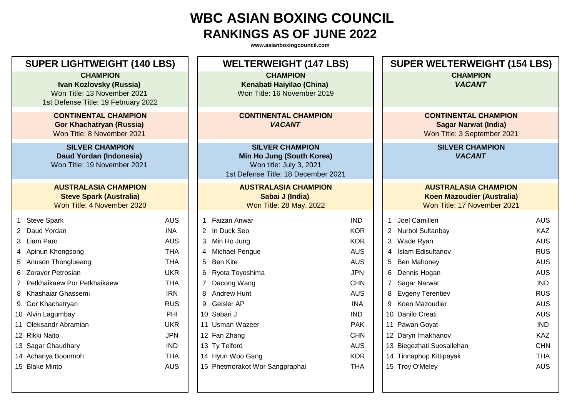| <b>SUPER LIGHTWEIGHT (140 LBS)</b> |                                                                                                                  |            | <b>WELTERWEIGHT (147 LBS)</b>                                                                                         | <b>SUPER WELTERWEIGHT (154 LBS)</b> |   |                                                                                                 |            |
|------------------------------------|------------------------------------------------------------------------------------------------------------------|------------|-----------------------------------------------------------------------------------------------------------------------|-------------------------------------|---|-------------------------------------------------------------------------------------------------|------------|
|                                    | <b>CHAMPION</b><br>Ivan Kozlovsky (Russia)<br>Won Title: 13 November 2021<br>1st Defense Title: 19 February 2022 |            | <b>CHAMPION</b><br>Kenabati Haiyilao (China)<br>Won Title: 16 November 2019                                           |                                     |   | <b>CHAMPION</b><br><b>VACANT</b>                                                                |            |
|                                    | <b>CONTINENTAL CHAMPION</b><br><b>Gor Khachatryan (Russia)</b><br>Won Title: 8 November 2021                     |            | <b>CONTINENTAL CHAMPION</b><br><b>VACANT</b>                                                                          |                                     |   | <b>CONTINENTAL CHAMPION</b><br><b>Sagar Narwat (India)</b><br>Won Title: 3 September 2021       |            |
|                                    | <b>SILVER CHAMPION</b><br>Daud Yordan (Indonesia)<br>Won Title: 19 November 2021                                 |            | <b>SILVER CHAMPION</b><br>Min Ho Jung (South Korea)<br>Won title: July 3, 2021<br>1st Defense Title: 18 December 2021 |                                     |   | <b>SILVER CHAMPION</b><br><b>VACANT</b>                                                         |            |
|                                    | <b>AUSTRALASIA CHAMPION</b><br><b>Steve Spark (Australia)</b><br>Won Title: 4 November 2020                      |            | <b>AUSTRALASIA CHAMPION</b><br>Sabai J (India)<br>Won Title: 28 May, 2022                                             |                                     |   | <b>AUSTRALASIA CHAMPION</b><br><b>Koen Mazoudier (Australia)</b><br>Won Title: 17 November 2021 |            |
| 1                                  | <b>Steve Spark</b>                                                                                               | <b>AUS</b> | Faizan Anwar<br>1                                                                                                     | <b>IND</b>                          |   | 1 Joel Camilleri                                                                                | <b>AUS</b> |
|                                    | 2 Daud Yordan                                                                                                    | <b>INA</b> | 2 In Duck Seo                                                                                                         | <b>KOR</b>                          |   | 2 Nurbol Sultanbay                                                                              | <b>KAZ</b> |
|                                    | 3 Liam Paro                                                                                                      | <b>AUS</b> | 3 Min Ho Jung                                                                                                         | <b>KOR</b>                          |   | 3 Wade Ryan                                                                                     | <b>AUS</b> |
|                                    | 4 Apinun Khongsong                                                                                               | <b>THA</b> | Michael Pengue<br>4                                                                                                   | <b>AUS</b>                          | 4 | <b>Islam Edisultanov</b>                                                                        | <b>RUS</b> |
|                                    | 5 Anuson Thonglueang                                                                                             | <b>THA</b> | Ben Kite<br>5                                                                                                         | <b>AUS</b>                          |   | 5 Ben Mahoney                                                                                   | <b>AUS</b> |
|                                    | 6 Zoravor Petrosian                                                                                              | <b>UKR</b> | Ryota Toyoshima<br>6                                                                                                  | <b>JPN</b>                          |   | 6 Dennis Hogan                                                                                  | <b>AUS</b> |
|                                    | 7 Petkhaikaew Por Petkhaikaew                                                                                    | <b>THA</b> | Dacong Wang                                                                                                           | <b>CHN</b>                          |   | 7 Sagar Narwat                                                                                  | <b>IND</b> |
|                                    | 8 Khashaiar Ghassemi                                                                                             | <b>IRN</b> | <b>Andrew Hunt</b><br>8                                                                                               | <b>AUS</b>                          |   | 8 Evgeny Terentiev                                                                              | <b>RUS</b> |
|                                    | 9 Gor Khachatryan                                                                                                | <b>RUS</b> | Geisler AP<br>9                                                                                                       | <b>INA</b>                          |   | 9 Koen Mazoudier                                                                                | <b>AUS</b> |
|                                    | 10 Alvin Lagumbay                                                                                                | PHI        | 10 Sabari J                                                                                                           | <b>IND</b>                          |   | 10 Danilo Creati                                                                                | <b>AUS</b> |
|                                    | 11 Oleksandr Abramian                                                                                            | <b>UKR</b> | 11 Usman Wazeer                                                                                                       | <b>PAK</b>                          |   | 11 Pawan Goyat                                                                                  | <b>IND</b> |
|                                    | 12 Rikki Naito                                                                                                   | <b>JPN</b> | 12 Fan Zhang                                                                                                          | <b>CHN</b>                          |   | 12 Daryn Imakhanov                                                                              | <b>KAZ</b> |
|                                    | 13 Sagar Chaudhary                                                                                               | <b>IND</b> | 13 Ty Telford                                                                                                         | <b>AUS</b>                          |   | 13 Biegezhati Suosailehan                                                                       | <b>CHN</b> |
|                                    | 14 Achariya Boonmoh                                                                                              | <b>THA</b> | 14 Hyun Woo Gang                                                                                                      | <b>KOR</b>                          |   | 14 Tinnaphop Kittipayak                                                                         | <b>THA</b> |
|                                    | 15 Blake Minto                                                                                                   | <b>AUS</b> | 15 Phetmorakot Wor Sangpraphai                                                                                        | <b>THA</b>                          |   | 15 Troy O'Meley                                                                                 | <b>AUS</b> |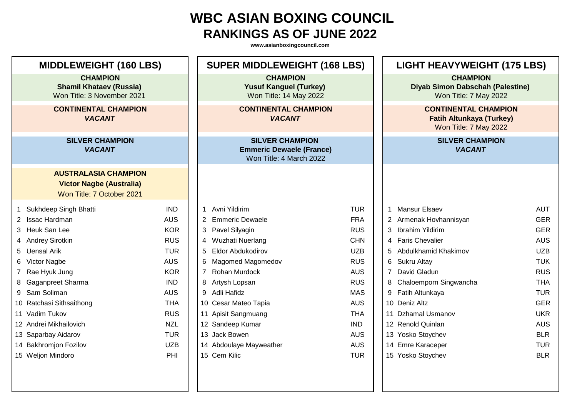| <b>MIDDLEWEIGHT (160 LBS)</b>                                                   |                                                                                             |            | <b>SUPER MIDDLEWEIGHT (168 LBS)</b>                                                  |            |  | <b>LIGHT HEAVYWEIGHT (175 LBS)</b>                                                      |            |  |
|---------------------------------------------------------------------------------|---------------------------------------------------------------------------------------------|------------|--------------------------------------------------------------------------------------|------------|--|-----------------------------------------------------------------------------------------|------------|--|
| <b>CHAMPION</b><br><b>Shamil Khataev (Russia)</b><br>Won Title: 3 November 2021 |                                                                                             |            | <b>CHAMPION</b><br><b>Yusuf Kanguel (Turkey)</b><br>Won Title: 14 May 2022           |            |  | <b>CHAMPION</b><br><b>Diyab Simon Dabschah (Palestine)</b><br>Won Title: 7 May 2022     |            |  |
| <b>CONTINENTAL CHAMPION</b><br><b>VACANT</b>                                    |                                                                                             |            | <b>CONTINENTAL CHAMPION</b><br><b>VACANT</b>                                         |            |  | <b>CONTINENTAL CHAMPION</b><br><b>Fatih Altunkaya (Turkey)</b><br>Won Title: 7 May 2022 |            |  |
|                                                                                 | <b>SILVER CHAMPION</b><br><b>VACANT</b>                                                     |            | <b>SILVER CHAMPION</b><br><b>Emmeric Dewaele (France)</b><br>Won Title: 4 March 2022 |            |  | <b>SILVER CHAMPION</b><br><b>VACANT</b>                                                 |            |  |
|                                                                                 | <b>AUSTRALASIA CHAMPION</b><br><b>Victor Nagbe (Australia)</b><br>Won Title: 7 October 2021 |            |                                                                                      |            |  |                                                                                         |            |  |
| 1                                                                               | Sukhdeep Singh Bhatti                                                                       | <b>IND</b> | Avni Yildirim<br>1                                                                   | <b>TUR</b> |  | <b>Mansur Elsaev</b>                                                                    | <b>AUT</b> |  |
|                                                                                 | 2 Issac Hardman                                                                             | <b>AUS</b> | 2 Emmeric Dewaele                                                                    | <b>FRA</b> |  | Armenak Hovhannisyan                                                                    | <b>GER</b> |  |
|                                                                                 | 3 Heuk San Lee                                                                              | <b>KOR</b> | 3 Pavel Silyagin                                                                     | <b>RUS</b> |  | <b>Ibrahim Yildirim</b><br>3                                                            | <b>GER</b> |  |
|                                                                                 | 4 Andrey Sirotkin                                                                           | <b>RUS</b> | 4 Wuzhati Nuerlang                                                                   | <b>CHN</b> |  | <b>Faris Chevalier</b><br>4                                                             | <b>AUS</b> |  |
|                                                                                 | 5 Uensal Arik                                                                               | <b>TUR</b> | 5 Eldor Abdukodirov                                                                  | <b>UZB</b> |  | Abdulkhamid Khakimov<br>5                                                               | <b>UZB</b> |  |
|                                                                                 | 6 Victor Nagbe                                                                              | <b>AUS</b> | 6 Magomed Magomedov                                                                  | <b>RUS</b> |  | Sukru Altay<br>6                                                                        | <b>TUK</b> |  |
|                                                                                 | 7 Rae Hyuk Jung                                                                             | <b>KOR</b> | 7 Rohan Murdock                                                                      | <b>AUS</b> |  | David Gladun                                                                            | <b>RUS</b> |  |
|                                                                                 | 8 Gaganpreet Sharma                                                                         | <b>IND</b> | 8 Artysh Lopsan                                                                      | <b>RUS</b> |  | Chaloemporn Singwancha<br>8                                                             | <b>THA</b> |  |
|                                                                                 | 9 Sam Soliman                                                                               | <b>AUS</b> | 9 Adli Hafidz                                                                        | <b>MAS</b> |  | 9<br>Fatih Altunkaya                                                                    | <b>TUR</b> |  |
|                                                                                 | 10 Ratchasi Sithsaithong                                                                    | <b>THA</b> | 10 Cesar Mateo Tapia                                                                 | <b>AUS</b> |  | 10 Deniz Altz                                                                           | <b>GER</b> |  |
|                                                                                 | 11 Vadim Tukov                                                                              | <b>RUS</b> | 11 Apisit Sangmuang                                                                  | <b>THA</b> |  | 11 Dzhamal Usmanov                                                                      | <b>UKR</b> |  |
|                                                                                 | 12 Andrei Mikhailovich                                                                      | <b>NZL</b> | 12 Sandeep Kumar                                                                     | <b>IND</b> |  | 12 Renold Quinlan                                                                       | <b>AUS</b> |  |
|                                                                                 | 13 Saparbay Aidarov                                                                         | <b>TUR</b> | 13 Jack Bowen                                                                        | <b>AUS</b> |  | 13 Yosko Stoychev                                                                       | <b>BLR</b> |  |
|                                                                                 | 14 Bakhromjon Fozilov                                                                       | <b>UZB</b> | 14 Abdoulaye Mayweather                                                              | <b>AUS</b> |  | 14 Emre Karaceper                                                                       | <b>TUR</b> |  |
|                                                                                 | 15 Weljon Mindoro                                                                           | PHI        | 15 Cem Kilic                                                                         | <b>TUR</b> |  | 15 Yosko Stoychev                                                                       | <b>BLR</b> |  |
|                                                                                 |                                                                                             |            |                                                                                      |            |  |                                                                                         |            |  |